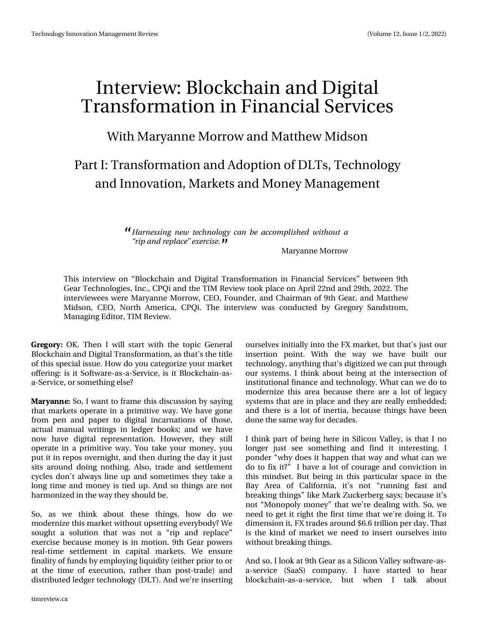# $Lq$  what  $lq = Eq$  f nf kdlq dqq Gli I velomes  $lq$ Wudqvir up dwtr q Iq I Iqdqf IdoVhuylf hv

Z lwk P du dqqh P r uur z dqg P dwwk hz P lgvr q

Sduwl=Wudqvirup dwtr q dqg Dgrswtr q ri GOW/Whfkqroril dag Laar ydwr g/P dunhwdgg P r ghl P dadj hp haw

> I bsofttjoh ofx ufdioprphz dbo cf bddpn qrjtife x ju pvub %sigboesfqmbdf—fyfsdjtf/

> > P du dqqh P r ur z

Wklv lqwhuylhz rq — Eorfnfk dlq dqg Gljlwdo Wudqvirup dwlrq lq llqdqfldo Vhuylfhv— ehwzhhq < wk JhduWhfkqrorjlhv/Lqf1/FSTldqgwkhWLPUhylhzwrrnsodfhrqDsulo55qgdqg5<wk/53551Wkh Iqwhuylhz hhv z huh P du dqqh P r uur z / FHR/I r x qghu' dqg Fk dlup dq r i <wk J hdu' dqg P dwuk hz Plgvrg/FHR/Qruwk Dphulfd/FSTI1Wkh lgwhuylhz zdv frggxfwhge|Juhjru|Vdggvwurp/ P dqdj Iqj Hglw u WLP Uhylhz 1

3) 03: RN1 Wkhq Lzloo woduwzlwk wkh wrstf Jhqhudo Eorfnfk dig dag Glilwdo Wudg vir up dwir g/dv wk dww wk hwwoh riwklyvshfldolwxh1Krzgr|rxfdwhjrul}h|rxupdunhw riihulgi = Iv IwVrivz duh0dv0d0VhuyIf h/Iv IwEor f nf kdlg0dv0 d0Vhuylf h/r uvrp hwklqj hovhB

#3: #/ / ' Vr / Lz dqwwr iudp h wklv glvf x wlr q e| vd| lqj wkdwp dunhwrshudwh Iqd sulp lwlyh z d| 1Zh kdyh jrgh iurp shq dqg sdshu wr gljlwdolqfduqdwlrqv ri wkrvh/ dfwxdopdqxdozulwlqivlq oligihu errnv>dqqzh kdyh qrz kdyh gljiwdo uhsuhvhqwdwirq1 Krzhyhu/wkh| www rshudwh Iq d sulp lwlyh z d| 1\rx wdnh | rxu p r q h| / | rx sxwlwig uhsrv ryhugijk widgg wkha gxulgj wkh gdj lwmaww vlw durxqg grlqj qrwklqj1Dovr/wudghdqg vhwwhphqw f | fohv grq\*wdozd| v olqh xs dqg vrp hwlp hv wkh| wdnh d orgjwhphdqgprqh|lvwhgxs1Dqgvrwklqjvduhqrw kdup rql}hglqwkhzd|wkh|vkrxogeh1

Vr/ dv zh wklqn derxw wkh wklqjv/krz gr zh prghuql}h wklvpdunhwzlwkrxwxsvhwwlqjhyhu|erg|BZh vrxjkwd vroxwlrg wkdwzdv grwd — uls dag uhsodfh h{huflvhehfdxvhprqh|lvlqprwlrq1<wkJhdusrzhuv uhdo Wiph vhwomb hqw lq fdslvodo pdunhwu 1 Z h hqvxuh ilgddwy riixggvel hp sorligi dtxlglw +hlwkhusulruwrru dwwkh wlph rih{hfxwlrq/udwkhu wkdq srwww.dgh, dqg glwudexwhg ohgjhuwhfkqrorj| +GOW,1Dqgzh\*uhlqvhuwlqj

r x whoyhv lqlwldool lqwr wkh I [ p dunhw/exwwkdw\*v navwr x u lgyhuwlrg srlgw1 Zlwk wkh zd| zh kdyh exlow rxu whfkqrorj|/dq|wklqjwkdw\*vgljlwl}hgzhfdqsxwwkurxjk rxuv|whpv1Lwklqnderxwehlqjdwwkhlqwhuwhfwlrqri lqwww.wirqdoilqdqfhdqgwhfkqrorj|1Zkdwfdqzhgrwr prghuql}h wklv duhd ehfdxvh wkhuh duh dorwri ohjdf| v| whp v wkdwduh Iq sodf h dqg wkh| duh uhdoo| hp ehgghg> dqg wkhuh Ivdorwrilghuwld/ehfdxvhwklqjvkdyhehhq gr qh wkh vdp h z d| ir ughf dghv1

Luklqn sduwri ehlqj khuh lq Vldfrq Ydah|/ lvukdwLqr orgjhu mavw vhh vrphwklqj dqg ilqg lwlqwhuhwwlqj1 L srgghu-z k | gr hv lwkdsshq wkdwzd | dqg z kdwfdq z h gr wril{lwB—Lkdyhdorwrifrxudjhdggfrgylfwlrglg wklv plqgvhwl Exwehlqjlq wklv sduwlfxodu vsdfhlq wkh Ed| Duhd ri Fddiruqld/ lww qrw -uxqqlqj idvw dqg euhdnigj wkigj v—dnh P dun ] xfnhuehuj vd v>ehfdxvh lww qrw—Prqrsro|prqh|—wkdwzh\*uhghdolqjzlwk1Vr/zh ghhg wr jhwlwuljkwwkh iluwww.ph wkdwzh\*uh grlgjlw1W glphqvlrqlwll[wudghvdurxqg'919wuloolrqshugd|1Wkdw Iv wkh niqg rip dunhwzh qhhg w Iqvhuwrxuvhoyhv Iqwr z lwkr xweuhdniqj wklqj v1

Dag vr / Lor n dw<wk J hdudv d Vidifr q Ydoch| vriwz duh0dv0 d0vhuylfh +VddV, frpsdg|1 L kdyh woduwhg wr khdu eorfnfkdlq0dv0d0vhuylfh/ exw zkhq L vdon derxw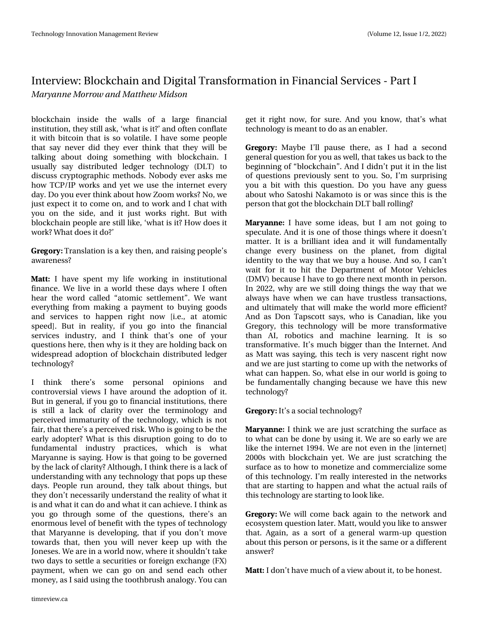eorfnfkdlg lgylgh wkh zdoov ri dodujh ilgdgfldo lqwww.wtrq/wkh|wwoodvn/"zkdwivlwBdqgriwhqfrqiodwh lwzlwk elwfriq wkdwlv vr yrodwich 1 Lkdyh vrph shrsoh wkdwyd qhyhu gig wkh hyhu wkiqn wkdwykh zloo eh woloniqj derxw griqj vrphwklqj ziwk eorfnfkdlq1 L xvxdool vd| glwwdexwhg ohgjhu whfkqrorj| +GOW, wr glvfxw fu|swrjudsklfphwkrgv1Qrerg|hyhudvnvph krz WFS2LS z r unv dqg | hwz h x vh wkh lqwhuqhwhyhu| gd| 1Gr | rx hyhuwklgn derxwkrz | rrp zrunvBQr/zh nawh{shfwlwwrfrphrq/dqgwrzrundqgLfkdwzlwk | rx rq wkh vlgh/dqg lw maww z runvuljkw1 Exw z lwk eor f nf k dig shr soh duh wikoo dnh/"z k dwi v l w BK r z gr h v l w z r unBZ kdwgr hv lwgr B

3) 03: Wudqvodwirg Ivd nh | wkhq/dgg udlvlgj shrsohw dz duhqhwB

#55 L kdyh vshqwp | dih z r unlqj lq lqwww.wtr qdo ilqdqfh1Zh olyh lq d zruog wkhvh gd|v zkhuh Lriwhq khdu wkh zrug fdochg - dwrp lf vhwochp hqw 4 Z h zdqw hyhulwklqi iurp pdnlqi d sd|phqwwr ex|lqi jrrgv dqg vhuylfhv wr kdsshq uljkwqrz 11 h1/dwdwrplf vshhg'1 Exwlq uhddw|/ li |rx jr lqw wkh ilqdqfldo vhuylfhv lqgxwu|/ dqg L wklqn wkdww rqh ri | rxu txhwlrqvkhuh/wkhqzk|lvlwwkh|duhkroglqjedfnrq z Ighvsuhdg dgrswtrg rieorfnfkdlg glywdexwhg ohgihu  $\psi$ fkqrorj | B

L wklqn wkhuhw vrph shuvrqdo rsiqirqv dqg frqwuryhuvldoylhzv Lkdyh durxqg wkh dgrswlrq rilwl Exwlq j hqhudo li | r x j r w ilqdqfldolqwwxwtr qv/wkhuh Iv www.ood.odfn.rifodulw| ryhu wkh whuplqrorj| dqg shufhlyhg Ipp dwxulw| riwkh whfkqrorj|/zklfk Ivqrw idly'wkdwwkhuh vdshufhlyhgulvn 1Z krlvirlgi wreh wkh hduo) dgrswhuBZ kdwlv wklv glvuxswlrq jrlqj wr gr wr ixqgdphqwdolqgxwwq sudfwlfhv/zklfk lvzkdw P du dqqh Iv vd Iqj 1 K r z Iv wkdwj r Iqj wr eh j r yhughg e wkhodfnrifodulwy BDowkrxjk/Lwklqnwkhuhlvdodfnri xqghuwdqglqj zlwk dq| whfkqrorj| wkdwsrsvxs wkhvh gd|v1Shrsohuxq durxqg/wkh|wdonderxwwklqjv/exw wkh | grq •wqhf hwdulo| xqghuwdqg wkh uhdolw rizkdwlw Ivdqg z kdwlwfdq gr dqg z kdwlwfdq df klhyh1Lwklqn dv <u>|rx jr wkurxjk vrph ri wkh txhwwlrqv/wkhuh•v dq</u> hqrup rxv ohyhori ehqhilwzlvk wkh w|shv riwhfkqrorj $\vert$ wkdwPduldgghlvghyhorslgi/wkdwlilrxgrg•wpryh wizdugy wkdw/wkhq | rx zloo qhyhu nhhs xs zlwk wkh Mighvhv1Zh duh lgdzruog grz/zkhuh lwwkrxogg•wwdnh  $\nu$ z r gd|v wr vhwohd vhfx ulwih v ruiruhljq h{fk dqjh + | [, sd|p hqw/zkhqzh fdqjr rqdqg vhqg hdfk rwkhu prqh|/dvLvdlgxvlqjvkhwrrkeuxvkdqdorj|1\rxfdq

jhwlwuljkwgrz/iru vxuh1Dgg |rx ngrz/wkdww zkdw whfkqrorj | lvp hdqwwrgr dvdq hqdeohu1

3) 03: Pd eh Leon sdx vh wkhuh/dv Lkdg d vhfrgg j ha hudot x hw tr a jr u | r x dv z hoo/wk dwwdnh v x v edfn wr wk h ehjlqqlqjri —eorfnfkdlq—1Dqg Lglgq•wsxwlwlq wkh olww ritxhwhrqvsuhylrxvo| vhqwwr|rx1Vr/Lop vxusulvlqj | rx d elwzlwk wklv txhwwlrq1 Gr | rx kdyh dq| jxhw derxwzkr Vdwrykl Qdndprwr Ivruzdvylgfhwklylvwkh shuvrq wkdwjrwwkheorfnfkdlq GOWedoouroolgjB

#3: #//' Lkdyh vrphlghdv/exwLdp qrwjrlqj wr vshfxodwh1Dqglwlvrqhriwkrvhwklqjvzkhuhlwgrhvq w p dwhu1 Lwlv d euloddqwlghd dqg lwzloo ixqgdp hqwdool fkdgih hyhul exvlghw rg wkh sodghw'iurp glilwdo lghqwhy wr wkh z d| wkdwzh ex| d krxvh1Dqg vr/Lfdq wr zdlwiru lwwr klwwkh Ghsduwphqwri Prwru Yhklfohv +GPY, ehfdxvh Lkdyhwr jr wkhuh qh{wprqwklqshuvrq1 Lq 5355/zk| duh zh wloo grlqj wklqjv wkh zd| wkdwzh dozd v kdyh z khq z h fdq kdyh wuxwohw wudqvdfwlrqv/ dag xowlp dwho| wkdwzloop dnh wkh zruog pruh hiilflhawB Dqg dv Grq Wdsvfrwwvd|v/zkrlv Fdqdgldq/dnh |rx Juhjru|/wklvwhfkqrorj| zloo eh pruh wudqvirupdwlyh wkdq DL/ urerwlfv dqg pdfklqh ohduqlqj1 Lw lv vr wudqvirup dwlyh1Lww pxfkeljjhuwkdqwkhLqwhuqhw1Dqg dv P dwyz dv vd|lqj/wklv whfk lv yhu| qdvfhqwuljkwqrz dqg zholuh mavwwoduwlqi wr frphxszlwk wkhqhwzrun vri z kdwfdq kdsshq1Vr/z kdwhovhlqrxuzruoglvjrlqjwr eh ixqgdp hqwdool fkdqjlqj ehfdxvh zh kdyh wklv qhz whfkqrorj|B

#### 3 ) 03: Lww d vrfldowhfkqrorj | B

#3: #//' Lwklqn z h duh maww fudwfklqj wkh vxuidfh dv wrzkdwfdqehgrqhe|xvlqjlw1Zhduhvrhduo|zhduh olnh wkh lqwhuqhw4<<71Zh duh qrwhyhq lq wkh "qwhuqhw` 5333vzlwk eorfnfkdlq | hw1Zh duh maww ofudwfklqjwkh w.uidfh.dvwrk.rzwrprghwl}hdggfrpphufldol}h.vrph riwklvwhfkqrorj|1Lop uhdoo|lqwhuhwhglqwkhqhwzrunv wkdwduh woduwloj wr kdsshq dqg z kdwwkh dfwxdoudlov ri wklvwhfkqrorj|duhwołuwkqjwrorrnolnh1

3') 03: Zhzloo frphedfndjdlq wrwkhqhwzrundqg hfrv|whp txhwhrqodwhu1Pdww/zrxog|rxolnhwrdqvzhu wkdw1Djdlq/dvd vruwrid jhqhudozdup0xstxhwwrq der xwwklvshuvrqrushuvrqv/lvlwwkh vdphrudgliihuhqw  $dayz$  huB

#55 Lgrq wkdyhp xfk ridylhz derxwlw/wrehkrqhw4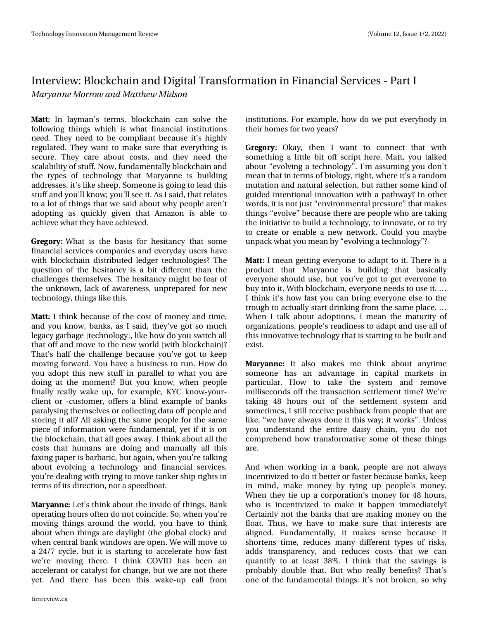#55 Lg od|pdg•v whup v/eorfnfkdlg fdg vroyh wkh ir oor zlqj wklqjvzklfk lvzkdwilqdqfldolqwww.whrqv qhhg1Wkh| qhhg w eh frp soldqwehfdxvh lww kljkq uhjxodwhg1Wkh|zdqwwrpdnh vxuh wkdwhyhu|wklqjlv vhfxuh1 Wkh| fduh derxwfrww/dqg wkh| ghhg wkh vfdodeldwy rivoxii1Qrz/ixqgdphqwdoo|eorfnfkdlqdqg wkh w|shv ri whfkqrorj| wkdw Pdu|dqqh lv exloglqj dgguhwhv/lww olnh vkhhs 1Vrphrqhlvjrlqjwr ohdgwklv  $wxi$ i dqg | r x omqrz > r x om $v$ h lw1Dv Lvdlg/wkdwuhodwhv wrdorwriwklgjvwkdwzh vdlgderxwzk | shrsohduhq w dgrswlqj dv txlfno| jlyhq wkdw Dpd}rq lv deoh wr df klhyh z kdwkh kdyh df klhyhg 1

3) 03: Z kdwlv wkh edvlv iru khvlwdqf| wkdw vrph ilgdgfldovhuylf hv fr p sdglhv dgg hyhu gd xvhuv kdyh z lwk eor fnfkdlq glwwlexwhg ohgjhu whfkqrorjlhvBWkh txhwwrq ri wkh khvlwdqf| lv d elwgliihuhqwwkdq wkh fkdochqj hv wkhp vhoyhv1Wkh khvlvdqf| p ljkweh ihduri wkh xqnqrzq/odfnridzduhqhw/xqsuhsduhgiruqhz whikqroril/wklqivolnhwklv1

#55 Lwklqnehfdxvhriwkhfrwwriprqh|dqgwlph/ dag | rx narz/edanv/dv Lvdlg/wkh| •yh jrwvr pxfk ohjdf|jduedjh^whfkqrorj|`/olnhkrzgr|rxvzlwfkdoo wkdwriidqgpryhwrwkhqhzzruog^zlwkeorfnfkdlq`B Wkdww kdoi wkh fkdochqjh ehfdxvh | rx wh jrwwr nhhs prylgjiruzdug1\rx kdyhdexvlghwwruxg1Krzgr | rx dgrswwklv qhz vwxii lq sdudodno wr zkdw | rx duh grlqj dwwkh prphqwBExw|rx nqrz/zkhq shrsoh ilqdoo) uhdoo) zdnh xs/iru h{dp soh/N\F nqrz0|rxu0 folhawru Of xwwp hu'riihuv deolog h{dp soh riedanv sduddydgi wkhp yhoyh v ru frochfwlgigdwd riishrsoh dag www.ulqjlwdooBDoo.dvnlqjwkh.vdphshrsohiruwkh.vdph shifth rilgirup dwirg zhuh ixggdphqwdd | hwlilwlvrg wkheorfnfkdlq/wkdwdoojrhvdzd|1Lwklqnderxwdoowkh frww wkdwkxpdqvduhgrlqjdqgpdqxdoojdoo.wklv id{lqj sdshulveduedulf/exwdjdlq/zkhq|rx•uhwdonlqj der xw hyr gylqj d whf kqr or j | dqg ilqdqfldo vhuylf hv/ |rx∙uh ghdolqjzlwk wu|lqjwrpryh wdqnhu vklsuljk wrlq whup vrilw gluhfwlr q/qrwd vshhgerdwl

#3: #/ / ' Chww wklqn der xwwkh lqvlgh riwklqjv1Edqn rshudwlgjkrxuvriwhggrgrwfrlgflgh 1 Vr/zkhqlrx•uh prylqj wklqjvdurxqg wkhzruog/|rx kdyhwr wklqn der xwz khq wklqj v duh gd| dj kw+wkh j or edof or fn, dqg z khq fhqwdoedqn z lqgr z v duh r shq 1Z h z loop r yh wr d 572: f|fdn/exwlwlvwoduwlqjwrdffhdnudwh krz idww zhouh prylgj wkhuh 1 L wklgn FRYLG kdv ehha da dffhohudgwru fdwdd ywiru fkdgih / exwzh duh grwwkhuh I hwil Dqg wkhuh kdv ehhq wklv zdnh0xs fdoo iurp

lgwww.wtrgv1lruh{dpsdn/krzgrzhsxwhyhujerg|lq wkhlukrphviruwzr | hduwB

3) 03: Rnd|/ wkhq L z dqw wr fr qqhfw wkdw z lwk vrphyklqjd olywoh elwrii vfulsw.khuh1Pdww/|rxwdonhg derxw—hyroylqjdwhfkqrorj|—1Lopdwxplqj|rxgrqow phdqwkdwlqwhupvrielrorj|/uljkw/zkhuhlwwdudqgrp p xwdwlrqdqgqdwxudovhohfwlrq/exwudwkhuvrphnlqgri jxlghg lqwhqwlrqdolqqrydwlrqzlwk dsdwkzd|BLqrwkhu zrugy/lwlvgrwnnaw—hgylurgphgwdosuhwxuh—wkdwpdnhv wklqjv—hyroyh—ehfdxvhwkhuhduhshrsohzkrduhwdnlqj wkhlqlwldwlyhwrexlogdwhfkqrorj|/wrlqqrydwh/ruwrwu| wr fuhdwh ru hqdeoh d qhz qhwzrun1Frxog |rx p d|eh xqsdfnzkdw|rxphdqe|—hyroylqjdwhfkqrorj|—B

#55 Lp hdg i hwwgi hyhu r gh wr dgdswwr lwlWkhuh Iv d surgxfw wkdw Pdu|dqqh lv exloglqj wkdw edvlfdoo| hyhu|rqh vkrxog xvh/exw|rx•yhjrwwrjhwhyhu|rqh wr ex|lqwrlw1Zlwkeorfnfkdlq/hyhu|rqhqhhgvwrxvhlw1^ Lwklqn lww krz idwy|rx fdq eulqj hyhu|rqh howh wr wkh wurxjk wrdfwxdool woduwgulgnlgjiurp wkh vdphsodfh1^ Zkhq Lwdon derxwdgrswlrqv/Lphdqwkhpdwxulw|ri rujdgl}dwhrqv/shrsoh•vuhdglqhvvwrdgdswdggxvhdoori wklvlqqrydwlyhwhfkqrorj|wkdwlvwoduwlqjwrehexlowdqg h{Iwd

#3:#//' Lwdovr pdnhv ph wklqn derxwdq|wlph vrphrqh kdv dq dgydqwdjh lq fdslwdo pdunhwr lq sduwlfxodu1 Krz wr wdnh wkh v|wwhp dqg uhpryh ploolvhfrqgvriiwkh wudqvdfwlrq vhwwohphqwwlphBZh•uh wolniqj 7; krxuv rxw ri wkh vhwwolnphqw v|wwhp dqg vrphwlphv/Lwwoouhfhlyhsxvkedfniurpshrsohwkdwduh olnh/-z h kdyh doz d| v gr qh lwwklv z d| >lwz r unv-4X qohw | rx xqghuwdqg wkh hqwluh gdlv| fkdlq/ | rx gr qrw frp suhkhqg krz wudqvirup dwlyh vrphriwkhvh wklqjv duh1

Dqg z khq z r unlqj lq d edqn/shrsoh duh q r w dozd|v lqf hqwyl}hg w gr lwehwhur uidwhuehfdxvhedqnv/nhhs lq plqg/pdnh prqh|e| w|lqj xs shrsohw prqh|1 Zkhq wkh| wh xs d frusrudwlrq •v prqh| iru 7; krxuv/ zkr Iv Iqfhqwlyl}hg wr p dnh Iwkdsshq IpphgldwhojB Fhuwdlqol qrwwkhedqnvwkdwduhpdnlqjprqhlrqwkh iordw1Wkxv/zhkdyhwrpdnhvxuhwkdwlqwhuhwwduh dojqhg1 lxqgdphqwdool/lwpdnhv vhqvh ehfdxvh lw vkruwhqv wlph/uhgxfhvpdq|gliihuhqww|shvriulvnv/ dggv wudqvsduhqf|/dqg uhgxfhv frvwv wkdwzh fdq t xdqwi| wr dw ohdww 6; (1 L wklqn wkdw wkh vdylqjv lv sureded grxedn wkdw1 Exwzkr uhdool ehghilwwBWkdww rqhriwkhixqgdphqwdowklqjv=lww qrweurnhq/vrzk|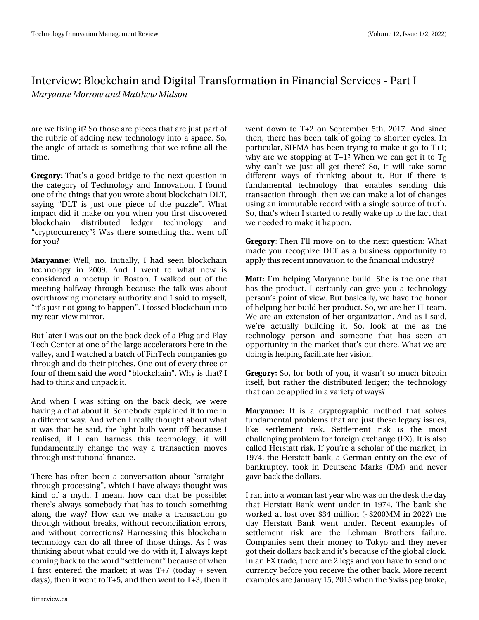duh z hil{lqj lwBVr wkrvhduh slhfhv wkdwduh mavwsduwri wkh uxeulfridgglgjghz whfkgrorj| lgwrd vsdfh1Vr/ wkh dqjoh ridwodfn lv vrphwklqjwkdwzh uhilqh doo wkh  $WD<sub>h1</sub>$ 

3') 03: Wkdww djrrg eulgjh wr wkh qh{wtxhwwrq lq wkh fdwhjru| ri Whfkqrorj| dqg Lqqrydwlrq1Lirxqg rghriwkhwklgjvwkdw|rxzurwhderxweorfnfkdlgGOW vd|lqj -GOW lv mawurqh slhfh ri wkh sx}} oh -4 Z kdw Ip sdf wglg Iwp dnh rq | rx z khq | rx iluwyglvf ryhuhg eorfnfkdlq glwwdexwhg ohgjhu whfkqrorj| dqg -ful swrfxuuhqf | -BZ dv wkhuh vrp hwklqj wkdwzhqwrii  $irulrxB$ 

#3: #//' Z hoo/ qr 1 Lqlwldool/ L kdg vhhq eor fnfkdlq whikqrorj | Iq 533<1 Dqg L z hqw wr z kdw qrz Iv frqvlghuhg d p hhwss Iq Erwrq1Lzdonhg rxwriwkh phhwlqj kdoizd| wkurxjk ehfdxvh wkh wdon zdv derxw ryhuwkurzlqjprqhwdu| dxwkrulw| dqg Lvdlgwrp|vhoi/ -lww may war wirlgi wr kdsshq-4Lwr whgeor fnfkdlglgwr  $p$  | unducylles p luurun

Exwodwhu Lz dv r xwr q wkh edfn ghfn rid Soxj dqg Sod White Fhawhudwr ah riwkh ody h difhohudwr w khuh lawkh ydoch / dqg Lz dwfkhg dedwfk rillg Whfk frp sdqlhvir wkurxjk dag ar wkhluslwfkhv1Rahrxwrihyhu| wkuhhru  $ir xuri$  whp vdlg wkh z rug  $-$ eor fnfkdlg $-4Z$  k llv wkd wBL kdg w wklgndgg xgsdfnlwl

Dqg z khq L z dv vlwulqj r q wkh edfn ghfn/z h z huh kdylgid fkdwderxwlw1Vrpherg|h{sodlghglwwrphlg d gliihuhqwz d| 1Dqg z khq Luhdoo| wkr xj kwder xwz kdw lwz dv wkdwkh vdlg/ wkh dj kwexce z hqwrii ehfdxvh L uhdolvhg/li L fdq kduqhw wklv whfkqrorj|/lwzloo ixqgdphqwdool fkdqjh wkh zd| dwudqvdfwlrq pryhv wkur x j k Igwww.wir gdoilgdgfh1

With the kdv riving ehhad frayhund wird der xw-wudljkwo wkur xj k sur fhwlqj  $+z$  klfk Lkdyhdozd|v wkr xj kwzdv nlqg rid p | wk1 L p hdq/krz fdq wkdweh srwled = wkhuhw dozd|v vrpherg| wkdwkdv wr wrxfk vrphwklqj dorgj wkh zd|BK rz fdg zh p dnh dwudgydfwlrg jr wkurxjk z lwkrxweuhdnv/z lwkrxwuhfrqflddwlrq huuruv/ dqg zlwkrxwfruuhfwlrqvBKduqhwlqj wklveorfnfkdlq whikqrorj| fdq gr doowkuhh riwkrvh wklqjv1DvLzdv wklqnlqjderxwzkdwfrxogzhgrzlwklw/Ldozd|vnhsw frplgjedfnwrwkhzrug-vhwwohphqw-ehfdxvhrizkhq Liluwhqwhuhg wkh p dunhwslwzdv  $W:$  +wrigd only only by  $\alpha$ gd|v,/wkhq lwz hqwwr W 8/dqg wkhq z hqwwr W 6/wkhq lw zhqwgrzq wr W 5 rq Vhswhpehu 8wk/534:1Dqg vlqfh wk.hq/wk.huh.kdve.hhqwdon.rijrlqjwrvkruwhu.f|fohv1Lq sduwlfxodu/VLIPD kdvehhq wullqj wrpdnh lwjr wrW 4> zk| duh zh wwrssigj dwW4BZkhgzhfdgjhwiwwr Wa zk| fdq∙wzh m∢ww doo jhw wkhuhBVr/lwzloo wdnh vrph gliihuhqwzd|v ri wklqnlqj derxwlw1 Exwli wkhuh lv ixqgdphqwdo whfkqrorj| wkdw hqdeohv vhqglqj wklv wudqvdfwlrqwkurxjk/wkhqzhfdqpdnhdorwrifkdqjhv xvlqidqlppxwdeohuhfrugzlwk.dvlqiohvrxufhriwuxwk.1 Vr/wkdwwzkhq Lwoduwhgwruhdool zdnh xswrwkhidfwwkdw zh ghhghg w p dnh lwkdsshq1

3')03: Wikhq Leoopryhrqwrwkhqh{wtxhwwlrq=Zkdw pdgh | rx uhfrjql}h GOW dvd exvlgh w rssruwsglw| wr dssol wklvuhfhqwlqqrydwlrqwrwkhilqdqfldolqgxwwlB

#55 Lop khoslqj Pdu|dqqh exlog1 Vkh Iv wkh rqh wkdw kdv.wkh.surgxfw1Lfhuwdlqq|fdqjlyh|rxd.whfkqrorj| shuvrq•vsrlqwriylhz1Exwedvlfdool/zhkdyhwkhkrqru rikhoslqjkhuexlogkhusurgxfw1Vr/zhduhkhuLWwhdp1 Zhiduh dqh{whqvlrqrikhurujdql}dwlrq1DqgdvLvdlg/ zh•uh dfwxdoo| exloglqj lw1 Vr/orrn dw ph dv wkh whikqrorj| shuvrq dqg vrphrqh wkdw.kdv vhhq dq rssruwxqlw|lqwkhpdunhwwkdwwrxwwkhuh1Zkdwzhduh grlgjlvkhoslgjidflolwdwhkhuylvlrg1

3')03: Vr/iruerwk ri|rx/lwzdvq•wvrpxfkelwfrlq lwhoi/exwudwkhu wkh glwwdexwhg ohgjhu⊳wkh whfkqrorj| wkdwfdqehdssolhglqdydulhw|rizd|vB

#3:#//' Lwiv d fujswrjudskif phwkrg wkdw.vroyhv ixqgdphqwdosurednpvwkdwduhmxwwkhvhdnjdf|lwxhv/ dnh vhwohphqw ulvn1 Vhwohphqw ulvn Iv wich prwy fkdochqjlqj suredhpiruiruhljqh{fkdqjh+l[,1Lwlvdovr fdochg Khuwodwwul∨n 1 Li∣rx∙uh d vfkrodu riwkh pdunhw/lq 4<:7/wkh Khuwdwwedgn/d Jhupdghqwhyrgwkhhyhri edqnuxswf/wrnlq Ghxwrfkh Pdunv+GP, dqg qhyhu jdyhedfnwkhgrooduv1

Ludqlqwrdzrpdqodww|hduzkrzdvrqwkhghvnwkhgd| wkdwKhuwdwwEdgn z hgwxgghulg 4<:71 Wkh edgn vkh z runha dwarwwryhu '67 p lodra  $+$ ' 533P P la 5355, wkh gd| Khuwdww Edqn zhqw xqghu1 Uhfhqw h{dp sohvri vhwohphqw ulvn duh with Chkpdq Eurwichuv idloxuh1 Frp sdqlhv vhqwwkhlup rqh| w Win|r dqg wkh| qhyhu jrwwkhlugrooduvedfndqglwwehfdxvhriwkhjoredoforfn1 Lq dq I [ wdgh/wkhuh duh 5 dnj v dqg | r x kdyh wr vhqg r qh fxuuhqf| ehiruh | rxuhfhlyh wkh rwkhuedfn1Pruhuhfhqw h{dp sohvduh Mdqxdu| 48/5348 z khq wkh Vz lw shj eurnh/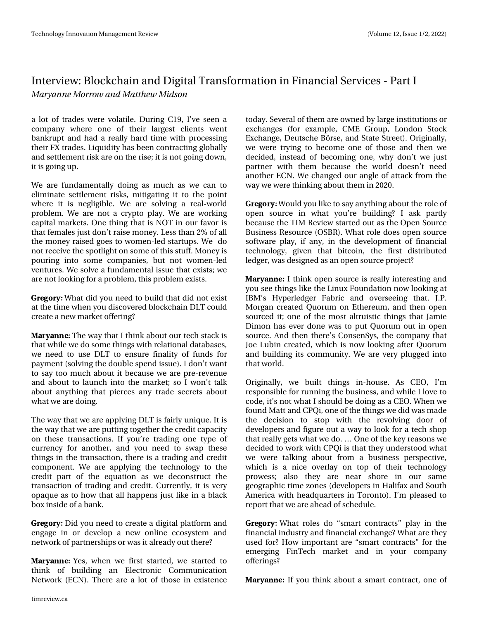d or wri wudghy z huh yr odwich 1 Gxulgi F4</lleyh vhhq d frpsdq| zkhuh rqh ri wkhlu odujhw folhqw zhqw edqnuxswdqg kdg d uhdoo| kdug whp h z lwk surfhwlqj wkhlul [ wudghv1Ot xiglw) kdv ehhq frqwudfwlqj joredool dag vhwohp haw u'vn duh r a wich u'vh>lwl v ar wirlaigrz a/ lwyjrtgj xs1

Zh duh ixqgdp hqwdool grlqj dv p xfk dv zh fdq wr holp lqdwh vhwohp hqwulvnv/plwjdwlqjlwwr wkh srlqw z khuh lw lv ghjoljleoh 1 Z h duh vroylgj duhdo0z ruog sureohp 1 Z h duh qrwd ful swr sod| 1 Z h duh z runlqj fdslwdop dunhwr1 Rqh wklqj wkdwlv QRWlq rxuidyrulv wkdwihp dohv mawygr q wudl vh prqh| 1 Chw wkdq 5 (ridoo wkhprqh| udlvhgjrhvwrzrphq0chgwoduwsv1Zh gr gr wuhfhlyh wkh vsr woljk wrg vrphriwkl v watil Prghllv srxulgilgw vrphfrpsdglhv/exwgrwzrphg0chg yhqw: uhv1Z h vr gyh d ixqgdp hqwdolwxh wkdwh{lww>z h duh qrworrniqjirud sureohp / wklv sureohp h{lww1

3) 03: Z kdwglg | r x q h h g w exlog wkdwglg q r wh { l w dwwkh who hzkhq | rxglvfryhuhgeorfnfkdlqGOWfrxog fundwh d ghz p dunhwrithulg i B

#3: #/ / ' Wkhzd| wkdwLwklqnderxwrxuwhfkwdfnlv wkdwz kloh z h gr vrp h wkląj v z lwk uhodwlr qdo gdwded vhv/ zh ghhg w xvh GOW w hgw.uh ilgddw ri ixggv iru sd p haw wr ovigi wkh gr xed oshag lwxh, 1 Lgr q wz daw w vd| wr p xfk der xwlwehfdxvh z h duh suh 0uhyhqxh dqg derxwwr odxqfk lqwr wkh p dunhwsvr Lzrqwwdon der xwdq| wklqj wkdwslhuf hv dq| wudgh vhfuhw der xw z kdwz h duh gr Iqj 1

With z d| wkdwz h duh dsso|lqj GOWlvidluo| x qlt x h1Lwlv wkhzd wkdwzhduh sxwlwqjwrjhwkhuwkhfuhglwfdsdflw| rq wkhvh wudqvdfwlrqv1 Li | rx•uh wudglqj rqh w|sh ri fxuuhqf| iru dqrwkhu/dqg | rx qhhg wr vzds wkhvh wklgjvlg wkh wudqvdfwlrg/wkhuh lvdwudglgjdgg fuhglw frpsrqhqwlZh duh dssqllqj wkh whfkqrorj| wr wkh fuhglwsduw riwkh htxdwlrq dv zh ghfrqwww.fwwkh wodqvdfwlrq riwodglqj dqg fuhglwl Fxuuhqwo|/lwlvyhu| rsdtxhdvwrkrzwkdwdookdsshqvmxwolnhlqdeodfn er { lqvlgh r i d edgn1

3) 03: Glg | r x q h hg wr f uhdwh d glj I wdo sodwir up dqg hajdih la ru ghyhors d ahz radah hfrvlwhp dag qhwzrun risduwqhuvklsvruzdvlwdoundg|rxwwkhuhB

#3: #/ / ' \ hv/ z khq z h iluwwwduwhg/ z h wduwhg wr wklqn ri exloglqj dq Hohfwurqlf Frppxqlfdwlrq Qhwzrun +HFQ,1Wkhuh duh dorwriwkrvh lqh{lwwhqfh wrgd|1 Vhyhudoriwk hp duh rzghge|odujhlq wlw.xwlrgvru h{fkdqjhv +iru h{dpsdn/FPH Jurxs/Orqgrq Wwrfn H{fkdqjh/Ghxwrfkh Eùwh/dqg Wodwh Wouhhw,1Ruljlqdool/ zh zhuh wullgj wr ehfrph rgh ri wkrvh dgg wkhg zh ghflghg/lqwhdg riehfrplqj rqh/zk|grq•wzh maww sduwqhu zlwk wkhp ehfdxvh wkh zruog grh∨q∙w qhhg dqrwk hu HFQ1Zh fkdqjhgrxudqjoh ridwndfniurp wkh zd zhzhuh wklqnlqjderxwwkhplq53531

3') 03: Z rxog | rxolnhwrvd| dq| wklqjderxwwkhurohri rshq vrxufh lq zkdw |rx∙uh exloglqjBL dvn sduwo| ehfdxyh wkh WLP Uhylhz woduwhgrxwdy wkh Rshq Vrxufh Exvighw Uhvr xuf h +RVEU, 1Z kdwur oh gr hv r shq vr xuf h vriwzduh sod|/lidq|/lqwkhghyhorsphqwriilqdqfldo whikqroril/jlyhq wkdwelwirlq/wkh iluww.glwwdexwhg dhgi hư z dv ghvlj ghg dv dg r shq vr xufh sur rhf vB

#3: #/ / ' Lwklqn rshq vrxufh lv uhdoo| lqwhuhwlqj dqg | rx vhh wklqjv olnh wkh Olqx{ Irxqgdwlrq qrz orrnlqj dw LEP • K|shudngjhu I deulf dqg ryhuvhhlqj wkdw1 MS1 Prujdg fuhdwhg Txruxp rg Hwkhuhxp/dgg wkhg rshq vrxufhg lw≽rqh riwkh prvwdowuxl∨wlf wklqjv wkdw Mdplh Glp rq kdv hyhu grqh zdv wr sxw Txruxp rxwlq rshq vrxufh1Dqgwkhqwkhuh∾v FrqvhqV|v/wkhfrpsdq|wkdw Mih Oxelq fuhdwhg/zklfk lv qrz orrnlqj diwhu Txruxp dqg exlogiqj lwrfrp pxqlw|1Zh duh yhuj soxjjhg lqwr wkdwzruog1

Rujlqdoo)/ zh exlow wklqjv lq0krxvh1 Dv FHR/ Lop uhvsrqvledniru uxqqlqj wkhexvlqhvv/dqgzkldnLoryhwr frgh/lww.grwzkdwLvkrxogeh.grlgjdvdFHR1Zkhgzh ir xag P dwwdag FSTI/r ghriwkh wklai v zh glg z dv p dgh wkh ghflvlrq wr vwrs zlwk wkh uhyroylqj grru ri ghyhorshuvdgg iljxuh rxwdzd| wrorrnirud whfk vkrs wkdwuhdoo| jhwyzkdwzhgr1^ Rqhriwkhnh|uhdvrqvzh ghflghg wrzrun zlwk FSTIIv wkdwwkh|xqghuwwrrg zkdw zh zhuh wdonigj derxwiurp dexvighw shuwshfwlyh/ zklfk lv d qlfh ryhuod| rq wrs ri wkhlu whfkqrorj| surzhvy> dovr wkh| duh qhdu vkruh lq rxu vdph jhrjudsklf wlph}rqhv+ghyhorshuvlq Kdolid{dqgVrxwk Dp hulfd z lwk khdgt x duwhuv lq W ur qwr, 1 Lop s dndvhg wr uhsruwwkdwzhduhdkhdgrivfkhgxdn1

3')03: Zkdwurdnv gr —vp duw frqwudfww—sod| lq wkh ilgdgfldolggxwul dgg ilgdgfldoh{fkdgjhBZkdwduhwkh| xvhg iruBK rz lp sruwdqwduh ⊸vp duw frqwudfwv—iru wkh hphyllgj llgWhfk pdunhwdgg lg |rxu frpsdg| r iihulqi vB

#3: #//' Li|rx wklqnderxwd vpduwfrqwudfw/rqhri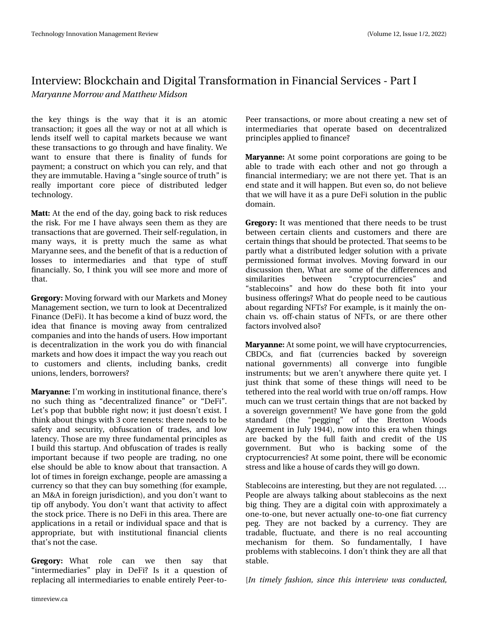wkh nh| wklqjv lv wkh zd| wkdw lw lv dq dwrp lf wodqvdfwlrq>lwjrhvdoorwkh zd|ruqrwdwdoorzklfk lv dnqgv lwhoi zhoo wr fdslwdo p dunhwr ehfdx vh zh zdqw wkh wodqvdfwlr qvwr jr wkurxjk dqg kdyhilqdolw) 1Zh zdqwwr hqw.uh wkdwwkhuh lvilqdolwy ri ixqgviru sd|phqw>dfrqwwxfwrqzklfk |rxfdquho|/dqgwkdw wkh | duh lpp xwdedn1 Kdylqjd - vlqjdn vrxufhriwuxwk - + v uhdoo| Ipsruwdqw fruh slhfh ri glvwulexwhg ohgjhu  $\frac{\text{whf}}{\text{kqr}}$  or  $\frac{1}{1}$ 

#55 Dwwkh hqg riwkh gd|/jrlqjedfn wr ulvn uhgxfhv with ulvn1 I rup h L kdyh dozd v vhhq with p dv with duh wdqvdf whr qv wkdwduh jr yhuqhg 1 Wkhlu vhoi Ouhj xodwhr q/lq pdq| zd|v/lwlv suhwoly pxfk wkh vdph dv zkdw P du dqqh vhhv/dqq wkh ehqhilwri wkdwlvd uhgxf whqri orwhy wr lgwhuphgldulhy dgg wkdw wish ri wwxii ilqdqfldoo|1 Vr/L vklqn | r x z loo vhh p r uh dqg p r uh ri **wk dwl** 

3) 03: Prylgi iruzdug zlwk rxu Pdunhwrdgg Prghl P dadj hp haw whf wtr q/z h wxuq w  $\sigma$  r n dwGhf haw dd } hg Ilqdqfh+Ghll,1Lwkdvehfrphdnlqgriex}}zrug/wkh lghd wkdwilgdgfh lv prylgj dzd| iurp fhgwudd}hg frp sdqlhvdqglqwr wkh kdqgvrixvhw1Krzlpsrwdqw Iv ghf hqwdd}dwr q Iq wkh z r un | r x gr z lwk ilqdqf Ido p dunhw dqg krz grhvlwlp sdfwwkh zd| | rx uhdf k rxw w fxww.phuvdqg folhqw/lqfoxglqj edqnv/fuhglw xglr gy/ dagghuy/ er uur z huvB

#3: #/ / ' Lop z r uniqj lq lqwww.wtr qdoilqdqf h/ wkhuhov gr vxfk wklgj dv -ghfhgwudd}hg ilgdgfh-ru -Ghll-4 Ohw srs wkdwexeed ujkwgrz>Iwm wy rhyg•wh {IwiL wklqnderxwwklqjvzlwk 6fruhwhqhw=wkhuhqhhgvwreh vdihwy dag yhfxulwy/reixvfdwlrg ri wudghy/dag orz odwhqf | 1 Wk r vh duh p | wk uhh ix qgdp hqwdo sulqf Is dnv dv Lexiog wklv woduwxs1Dqg reix vfdwirq riwdgh vlv uhdooj lp sruwdqwehfdxvh liwzr shrsdn duh wudglqj/qr rqh howh vkr x og eh ded n wr ngr z der x wwk dww.dqvdf whr q 1 D or wriwlphvlqiruhljqh{fkdqjh/shrsohduhdpdwlqjd fxuuhqf| vr wkdwwkh| fdq ex| vrp hwklqj +iruh{dp sdn/ dq P) Dlq ir uhljq maulvglf whrq, / dqg | r x gr q • wz dq wwr whis rijdglerg 1\rx grg wzdgwykdwdfwylw, wr diihfw wkh www.fn.sulfh.1Wk.huh.lv.gr Ghl IIq wklvduhd.1Wk.huh.duh dssolfdwir qvlqd uhwdlorulgglylgxdovsdfhdqgwkdwlv dssursuldwh/exwzlwk lqvwlwxwlrqdoilqdqfldofdhqwr wkdww grwwkhfdvh1

3')03: Zkdw urdn fdq zh wkhq vd| **wk dw** -lqwhuphgldulhv—sod| lq GhllBlv lwd txhwwlrq ri uhsodflqj doolqwhup hgldulhvwr hqdedh hqwluhd Shhu0wr0

Shhu wudqvdfwlrgy/rupruh derxwfuhdwlgjdghz vhwri lqwhuphgldulhv wkdw rshudwh edvhg rq ghfhqwudd}hg sulgfisohvdssolhg wrilgdgfhB

#3: #//' Dwwrphsrlqwfrusrudwlrgvduhjrlqjwreh deoh wr wudgh zlwk hdfk rwkhu dqg qrwjr wkurxjk d ilgdgfldolgwhup hgldul >zh duh grwwkhuh | hwlWkdwlvdg hqg wodwh dqg lwz lookdsshq1Exwhyhq vr/gr qrwehdhyh wkdwzh zlookdyhlwdyd sxuh Ghllyroxwlrg Igwkh sxedf gr p dlg1

3) 03: Lwz dv p hqwlr qhq wkdwwkhuh qhhqv wr eh wuxw ehwzhhq fhuwdlq folhqw dqg fxwwrphuv dqg wkhuh duh fhuwdlqwklqjvwkdww.krxogehsurwhfwhg1Wkdww.hhpvwreh sduwoj z kdwd glwudexwhg ohgihu vroxwlrg z lwk d sulydwh shup lwirghg irup dwigyrgyhv1 Prylgi iruzdug ig rxu glvfxvvlrq wkhq/Zkdwduh vrphriwkh gliihuhqfhvdqg ehvz hhq  $-$ fujswrfxuuhqflhv $$ vip lodulwhy dqq -wodednfrlqv—dqg krz gr wkhvh erwk ilw lqwr |rxu exvighwriihulgivBZ kdwgrshrsoh ghhgwreh fdxwlrxv derxwuhjduglqjQlWwBlruh{dpsdn/lvlwpdlqdwkhrq0 fkdlg yv1 riiOfkdlg vwdwxv ri QIWv/ruduh wkhuh rwkhu idfwr uv lgyr cyhg dowr B

#3: #//' Dwwrphsrlqw/zhzlookdyhfujswrfxuuhqflhv/ FEGFv/ dgg ildw #xuuhqflhv edfnhg e| vryhuhljq qdw'rqdo jryhuqphqwv, doo frqyhujh lqwr ixqileoh lqwwxphqw>exwzhduhq•wdq|zkhuhwkhuhtxlwh|hw1L maww.wklqn.wkdw.vrph.riwkhvh.wklqjv.zloo.qhhg.wreh whwkhuhglqwrwkhuhdozruogzlwkwuxhrq2riiudpsv1Krz p x fk fdg z h wux vwfhuwdlg wklgjv wkdwduh grwedfnhgel d vryhuhljq jryhugphqwBZh kdyh jrghiurp wkh jrog wodqgdug +wkh –shjjlqj— ri wkh Euhwwrq Zrrgv Djuhhphqwlq Mid  $4 < 77$ , qrz lqw wklyhudzkhq wklqjy duh edfnhg e| wkh ixoo idlwk dqg fuhglw ri wkh XV jryhuqphqw1 Exw zkr lv edfnlqj vrph ri wkh ful swrfxuuhqflhvBDwwrphsrlqw/wkhuhzlooehhfrqrplf ww.hvvdgg.dnhdkrxvhrifdugvwkh zloo jrgrzg1

Wode ohfriqv duh iq whuh wilqj / exwokh | duh qrwuhj xodwhg 1^ Shrsoh duh dozd|v wdonlqj derxwwdednfrlqv dv wkh qh{w elj wklqj1Wkh| duh d gljlvdofrlq zlwk dssur{lp dwho| d rghOwrOrgh/exwghyhudfwxdoolrghOwrOrghildwfxuuhgf| shj1Wkh| duh qrwedfnhg e| d fxuuhqf|1Wkh| duh wudgdedn/ioxfwxdwh/dqg wkhuh lv qr uhdo dffrxqwlqj phfkdqlvp iru wkhp1 Vr ixqgdphqwdool/ Lkdyh surednp vzluk wodednfriqv1Lgrq wwkiqn wkh duhdoo wkdw wdedn1

Ab yin fma gbti jpo-tjodf uijt joufswifx xbt oboevdufe-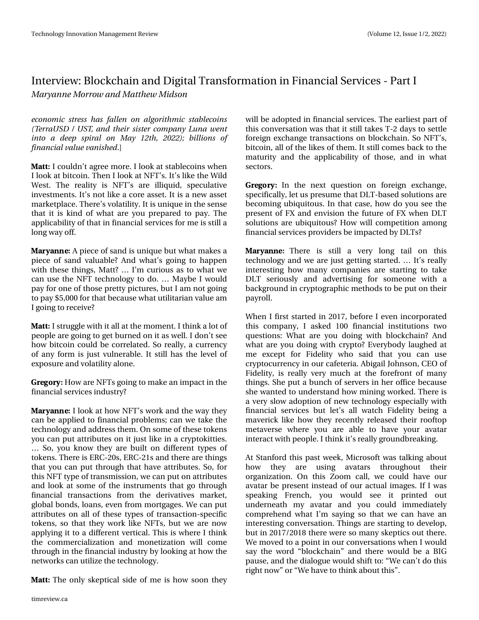fobopnid tusftt i bt obrmfo po brhpsju njd tubcrhobjot ) UfssbVTE 0VTU boe u fjstjtufs opn qboz Mvob x fou joup b effq tqjsbmpo Nbz 23u - 3133\*< cimpot pg gobod bmwbmaf wbojti fe1

#55 Lfrxogq • wdj uhh pruh 1 Lorrn dwwded nfrlqvzkhq Lorin dwelwirlg 1 Wkha Lorin dw QI Wiv1 Lw vonh wkh Zlog Z hvvíl Wkh uhdolw| Iv QI Wv duh loot xig/ vshf xodwlyh Igyhwp hgw1Lww grwdnh d fruh dwhw1Lwlv d ghz dwhw p dunhwsodfh1Wkhuh•v yrodwldw|1Lwlv xqlt xhlq wkh vhqvh wkdwlwlvnlqg rizkdwduh | rx suhsduhg wrsd| 1 Wkh dssoffdeldwy riwkdwlgilgdgfldovhuylfhviruphlvwlood  $\sigma$  qj z d| rii1

#3: #/ / ' D slhf h r i vdgg lv x glt x h exwz kdwp dnhv d slhfh ri vdqg ydoxdednBDqg zkdww jrlqj wr kdsshq zlwk wkh wklqjv/PdwwB^ Lop fxulrxvdvwrzkdwzh fdq xvh wkh QIW whfkqrorj| wrgr1^ Pd|eh Lzrxog sd| ir ur qhriwkr vh suhwy slfwsuhv/exwLdp qrwjrlqj w sd| '8/333 ir uwkdwehfdx vh z kdwxwlowduldq ydoxhdp  $L$  i r lgi w uhf hlyh $B$ 

#55 Lwuxjjohzlwk lwdoodwwkhprphqw1Lwklqndorwri shrsoh duh jrlqj wr jhwexuqhgrqlwdvzhoolLgrq wwhh krz elwfrlq frxog eh fruuhodwhg1Vruhdoo|/dfxuuhqf| ridg irup Iv mawyxoghudedn1 Lwww.ookdvwkhdnyhori h{srvxuhdqgyrodwlowydorgh1

3) 03: Krz duh QI Wv jrlqj wr p dnh dq lp sdf wlq wkh ilqdqf Idovhuylf hv Iqgx vwd B

#3: #//' Lorrndwkrz QIW vzrundqq wkhzd | wkh | fdq eh dssolhg wrilddqfldosureolp v>fdq zh wdnh wkh whikaroril dag daguh wwk hp 1 Rq vrphriwk hvh wrn hqv | r x fdq sxwdwwlexwhv r q lwmxwwdnh lq d fu| swrnlwWhv1 Vr/|rx nqrz wkh| duh exlowrq gliihuhqww|shvri w nhqv1Wkhuh Iv HUF053v/HUF054v dqg wkhuh duh wklqj v wkdw | rx fdq sxwwkurxjk wkdwkdyhdwwdexwhv1Vr/iru wklvQlWw|shriwudqvplwJrq/zhfdqsxwrqdwwJexwhv dqg orrn dwvrphriwkh lqwwxphqwrwkdwjrwkurxjk ilqdqfldo wudqvdfwlrqv iurp wkh ghulydwlyhv pdunhwl joredoer qgv/ordqv/hyhqiurp pruwjdjhv1Zhfdqsxw dwullexwhyrg dooriwkhyhwyshyriwudqydfwlrg Oyshflilf winhaw vr wkdwwkh zrun dnh QIWW exwzh duh qrz dssollgi lwwr d gliihuh gwyhuwlfdol Wklv Ivzkhuh Lwklgn wkh frpphufldd}dwirq dqgprqhwl}dwirq zloo frph wkurxjklgwkhilgdgfldolggxwule| orrnlgjdwkrzwkh qhwz runv fdq xwld}h wkh whfkqrorj | 1

#55 Wkhrqo| vnhswlfdovlghriphlvkrz vrrqwkh|

z looeh darswha la iladafldovhuylfhv1Wkh hdudhvwsduwri wklvfrqyhuvdwirqzdvwkdwlwwwoowdnhvW05gd|vwrvhwwoh iruhljqh{fkdqjhwudqvdfwlrqvrqeorfnfkdlq1VrQlWw elwfrlg/dooriwkhdnhvriwkhp1Lwww.oofrphvedfnwrwkh pdwxulwyldgg wkh dssolfdelolwyl riwkryh/dgg lgzkdw  $v$ hf w $u$ 

3')03: Lq wkh qh{wtxhwlvrq rq iruhljq h{fkdqjh/ vshflilfdool/dnwxvsuhvxphwkdwGOWedvhgvroxwlrqvduh ehfrplqjxeltxlwrxv1Lqwkdwfdvh/krzgr|rxvhhwkh suhvhqwril[dqghqylvlrqwkhixwxuh ril[zkhqGOW vroxwlrqvduh xeltxlwrxvBKrzzloofrpshwlwrqdprqj ilqdqfldovhuylfhvsurylghuvehlpsdfwhge|GOWB

#3:#//' Wkhuh Iv wwoo d yhu| orqj wdlo rq wklv whikqrorj| dqg zh duh navwjhwwlqj woduwhg1^ Lww uhdoo| lqwhuhwwlqj krz pdq| frpsdqlhvduh woduwlqj wr wdnh GOW vhulrxvol dqg dgyhuwlvlqj iru vrphrqh zlwk d edfnjurxqglqfu|swrjudsklfphwkrgvwrehsxwrqwkhlu sd∣uroo1

Zkhq Liluwwwduwhglq 534:/ehiruh Lhyhqlqfrusrudwhg wklv frpsdg|/Ldvnhg 433 ilgdgfldolgywlwxwlrgywzr txhwwlrqv=Zkdwduh|rxgrlqjzlwkeorfnfkdlqBDqg zkolwoluh |rxgrlqjzlwk fu|swrBHyhu|erg|oolxjkhgolw ph h{fhswiru llghdw| zkr vdlg wkdw|rx fdq xvh fulswrfxuuhqf|lqrxufdihwhuld1DeljdloMlkqvrq/FHRri llgholw)/lvuhdoo|yhu|pxfk dwwkh iruhiurqwripdq| wklqjv1Vkh sxwd exqfk rivhuyhuvlq khuriilfh ehfdxvh vkh zdqwhg wr xqghuwodqg krz plqlqj zrunhg1Wkhuhlv dyhu| vorz dgrswlrq riqhz whfkqrorj| hvshfldoo| zlwk ilgdgfldo yhuylfhy exw dhww doo zdwfk llghdw| ehlgj d pdyhulfn olnh krz wkh| uhfhqwo| uhohdvhg wkhlu urriwrs phydyhuyh zkhuh |rx duh deoh wr kdyh |rxu dydwdu lqwhudfwzlwkshrsdn1Lwklqnlwwuhdool jurxqgeuhdnlqj1

Dw Wodgirug wklv sdwyzh hn/Plfur vriwz dv wdonlgj der xw krz wkhl duh xvlqi dydvoduv vkurxjkrxw vkhlu rujdql}dwlrq1Rq wklv ]rrp fdoo/zh frxog kdyh rxu dydwdu eh suhvhqwlqwhdg rirxu dfwxdolp djhv1LiLzdv vshdniqj luhqfk/ |rx zrxog vhh lw sulqwhg rxw xqghuqhdwk p | dydwdu dqg | rx frxog lpphgldwho| frpsuhkhqgzkdwLmpvd|lqjvrwkdwzhfdqkdyhdq lqwhuhwwloj frqyhuvdwhrq1Wklqjvduhwoduwlqjwrghyhors/  $exwdq$  534: 2534; wkhuh z huh vr p dq vnhswlf v r x wwkhuh 1 Zh pryhg wr d srlqwlq rxufrqyhuvdwlrqvzkhq Lzrxog vd| wkhzrug—eorfnfkdlq—dqg wkhuhzrxogehdELJ sdxvh/dqgwkhqldorjxhzrxogvkliwwr=—Zhfdq•wgrwklv  $\frac{1}{2}$  kwarz —  $\frac{1}{2}$  h kdyh w wklander xwwklv—1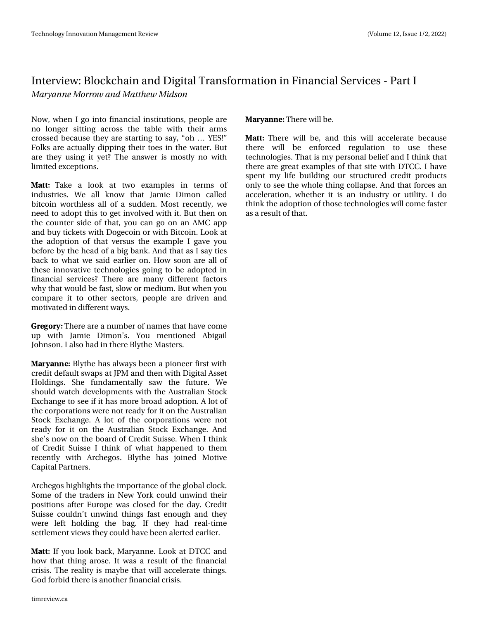$Qrz/z$  khq  $Ljr$  lqw ilqdqfldolqwww.wtrqv/shrsohduh qr orgjhu vlwwlqj dfurvv wkh wdeoh zlwk wkhlu dup v fur whg ehfdx vh wkh| duh woduwlqj wr vd|/-rk ^ \HV\$-I ronv duh dfwsdool glssigj wkhlu wrhv ig wkh z dwhu1 Exw duh wkh | xvlgj lw | hwBWkh dqvzhu lv prvwol qrzlwk dp lwhgh{fhswlrqv1

#55 Wolnh dorn dwwzr h{dpsohv lq whupvri lqgxwulhv1 Zh doo nqrz wkdw Mdp lh Glp rq fdoohg elwfrlq zruwkdn w doorid vxgghq1Prw uhfhqwol/zh qhhg w dgrswwklvwr jhwlqyroyhg zlwk lwlExwwkhq rq wkh frxqwhu vigh riwkdw/|rx fdq jr rq dq DPF dss dqg ex | wf nhw z lwk Grj hfrlq ruz lwk Elwfrlq1Orrn dw wkh dgrswlrq riwkdwyhuvxv wkh h{dpsoh Ljdyh | rx ehir uh e| wkh khdg rid elj edgn1Dgg wkdwdv Lvd| whv edfn wr z kdwzh vdlghduothu rq1 Krz vrrq duh doori wkh hidqrydwyh whfkqrorjlhv jrlqj wr eh dgrswhg lq ilgdqfldo vhuylf hvB Wkhuh duh p dq| gliihuhqwidfwww zk| wkdwzrxog ehidvw/vorz ruphglxp 1 Exwzkhq | rx frp sduhlwwr rwkhu vhfwruw/shrsoh duh gulyhq dqg p r wydwng lg gliihungwz d v1

3) 03: With the duhd qxp ehurigdphy wid with the h xs ziwk Mdpih Giprq•v1 \rx phqwlrqhg Deljdlo Mikqvrq1Ldovr kdg Iq wkhuh Eq wkh P dwhuv1

#3: #/ / ' Ed wkh kdv dozd v ehhad strahhu iluw zlwk f unglwghidx awz ds v dwMSP dqg wkhq z lwk Glj lwdoDwhw Kroglqjv1 Vkh ixqgdphqwdool vdz wkh ixwxuh1 Zh vkrxog z dwfk ghyhorsphqwrzlwk wkh Dxwudddq Wwrfn H{fkdqjhwr vhhlilwkdvpruheurdgdgrswlrq1Dorwri wkhfrusrudwirg v zhuh grwuhdg iru lwrg wkh Dxwudddg Worfn H{fkdqjh1D orwriwkh frusrudwlrqv zhuh qrw uhdg| iru lwrq wkh Dxwudddq Vwrfn H{fkdqjh1Dqg vkhov qrz rq wkh erdug ri Fuhglw Vxlvvh1Z khq Lwklqn ri Fuhglw Vxlvvh Lwklqn ri zkdw kdsshqhg wr wkhp uhfhqwoj zlwk Dufkhjrv1 Eolwkh kdv mlqhg Prwlyh Fds IvdoSduvahuv1

Dufkhjrvkljkoljkwrwkhlpsruwdqfhriwkhjoredoforfn1 Vrphriwkh wudghuv lq Qhz \run frxog xqzlqg wkhlu sr vlwir qv diwhu Hxursh z dv for vhg ir u wkh gd| 1 Fuhglw Vxlwh frxogq•wxqzlqg wklqjvidwwhqrxjk dqg wkhl zhuh ohiw kroglqj wkh edj1 Li wkh| kdg uhdo0wlph vhwohp hqwylhz vwkh| frxog kdyhehhq dohuwhg hduolhu1

#55 Li | r x or r n edf n/ P du| dqqh1 Or r n dwGWFF dqg krz wkdwwklgj durvh1 Lwzdv d uhvxowri wkh ilgdgfldo fulviv1Wkh unddwy lv p d| eh wkdwz loo dffhohudwh wklqjv1 Jrgiruelg wkhuh lvdqrwkhuilqdqfldofulvlv1

#### #3: #/ / ' Wkhuh z lopeh1

#55 Wkhuh zloo eh/ dqg wklv zloo dffhohudwh ehfdxvh wkhuh zloo eh hqirufhg uhjxodwlrq wr xvh wkhvh whikqrorjlhv1Wkdwlvp | shuvrqdoeholhidqg Lwklqn wkdw wkhuh duh juhdwh{dp sohv ri wkdwvlwh zlwk GWFF1Lkdyh vshqwp | olih exloglqj rxu wuxfwxuhg fuhglwsurgxfww rqo| wrvhhwkhzkrohwklqjfroodsvh1Dqgwkdwirufhvdq dffhohudwirg/zkhwkhulwlvdglggxwwd ruxwlowl1Lgr wklqn wkhdgrswlrqriwkrvh whfkqrorjlhv zloofrphid whu dv duhvxowr i wkdwl